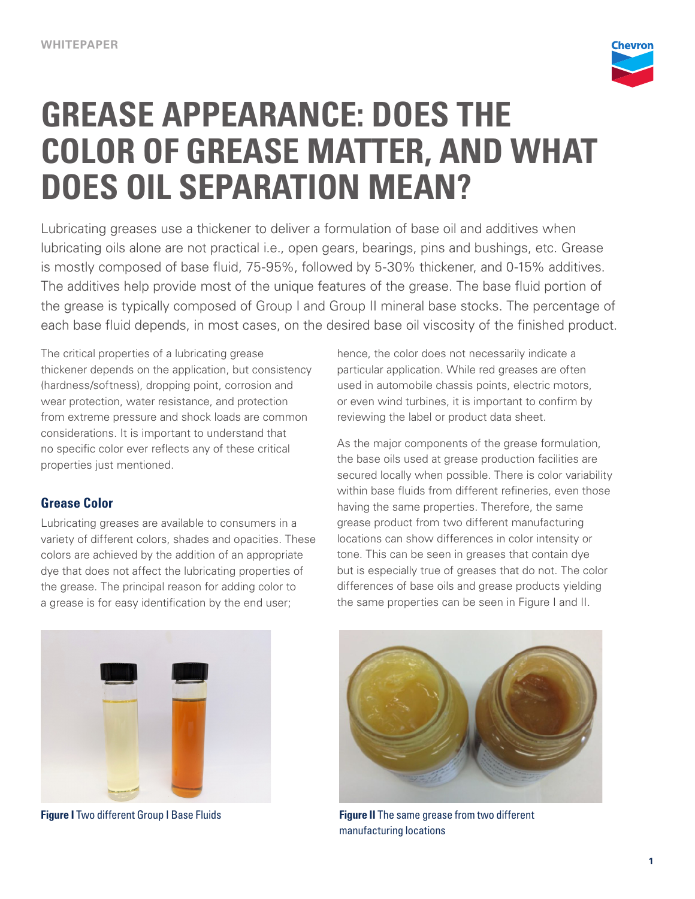

# **GREASE APPEARANCE: DOES THE COLOR OF GREASE MATTER, AND WHAT DOES OIL SEPARATION MEAN?**

Lubricating greases use a thickener to deliver a formulation of base oil and additives when lubricating oils alone are not practical i.e., open gears, bearings, pins and bushings, etc. Grease is mostly composed of base fluid, 75-95%, followed by 5-30% thickener, and 0-15% additives. The additives help provide most of the unique features of the grease. The base fluid portion of the grease is typically composed of Group I and Group II mineral base stocks. The percentage of each base fluid depends, in most cases, on the desired base oil viscosity of the finished product.

The critical properties of a lubricating grease thickener depends on the application, but consistency (hardness/softness), dropping point, corrosion and wear protection, water resistance, and protection from extreme pressure and shock loads are common considerations. It is important to understand that no specific color ever reflects any of these critical properties just mentioned.

## **Grease Color**

Lubricating greases are available to consumers in a variety of different colors, shades and opacities. These colors are achieved by the addition of an appropriate dye that does not affect the lubricating properties of the grease. The principal reason for adding color to a grease is for easy identification by the end user;

hence, the color does not necessarily indicate a particular application. While red greases are often used in automobile chassis points, electric motors, or even wind turbines, it is important to confirm by reviewing the label or product data sheet.

As the major components of the grease formulation, the base oils used at grease production facilities are secured locally when possible. There is color variability within base fluids from different refineries, even those having the same properties. Therefore, the same grease product from two different manufacturing locations can show differences in color intensity or tone. This can be seen in greases that contain dye but is especially true of greases that do not. The color differences of base oils and grease products yielding the same properties can be seen in Figure I and II.





**Figure I** Two different Group I Base Fluids **Figure II** The same grease from two different manufacturing locations